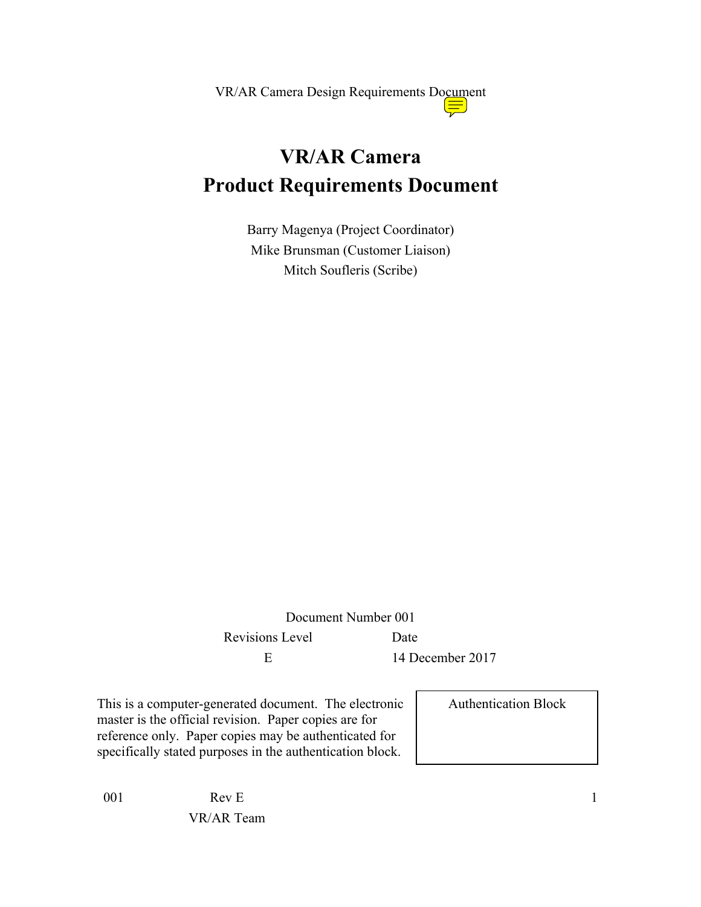# **VR/AR Camera Product Requirements Document**

Barry Magenya (Project Coordinator) Mike Brunsman (Customer Liaison) Mitch Soufleris (Scribe)

Document Number 001 Revisions Level Date E 14 December 2017

This is a computer-generated document. The electronic master is the official revision. Paper copies are for reference only. Paper copies may be authenticated for specifically stated purposes in the authentication block.

Authentication Block

001 Rev E

VR/AR Team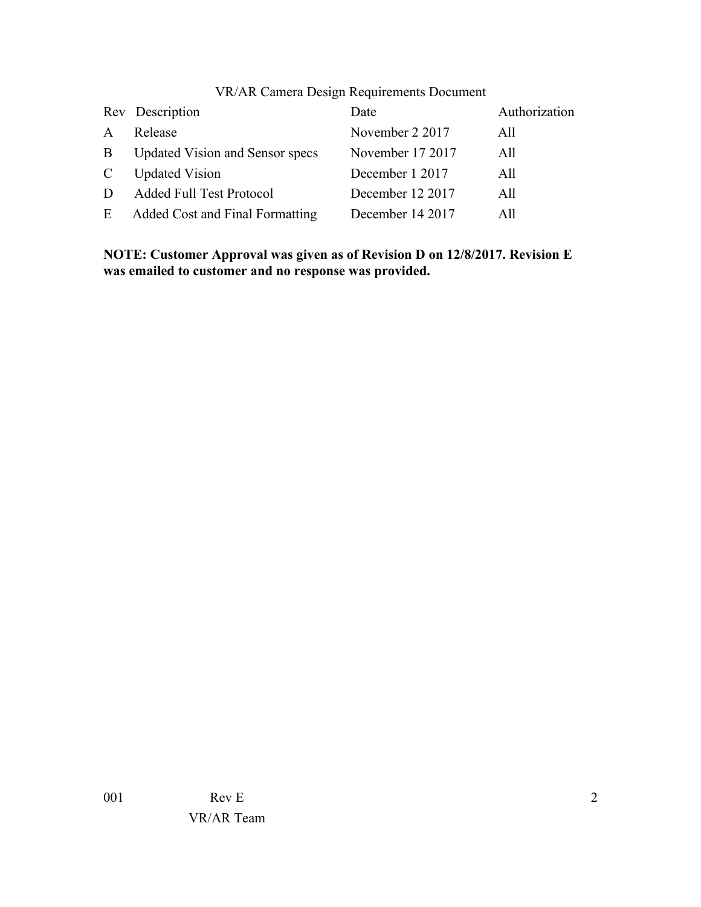| <b>VR/AR Camera Design Requirements Document</b> |  |  |  |  |  |
|--------------------------------------------------|--|--|--|--|--|
|--------------------------------------------------|--|--|--|--|--|

|              | Rev Description                        | Date             | Authorization |
|--------------|----------------------------------------|------------------|---------------|
| $\mathbf{A}$ | Release                                | November 2 2017  | All           |
| $\mathbf{B}$ | <b>Updated Vision and Sensor specs</b> | November 17 2017 | All           |
| $\mathbf{C}$ | <b>Updated Vision</b>                  | December 1 2017  | All           |
| D            | <b>Added Full Test Protocol</b>        | December 12 2017 | All           |
|              | E Added Cost and Final Formatting      | December 14 2017 | All           |

**NOTE: Customer Approval was given as of Revision D on 12/8/2017. Revision E was emailed to customer and no response was provided.**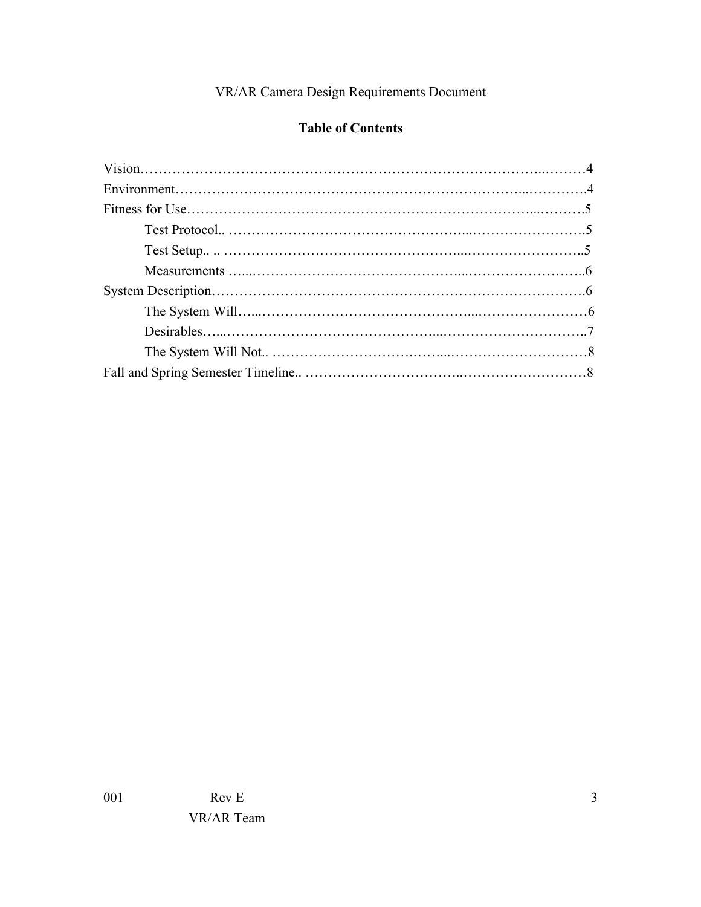# **Table of Contents**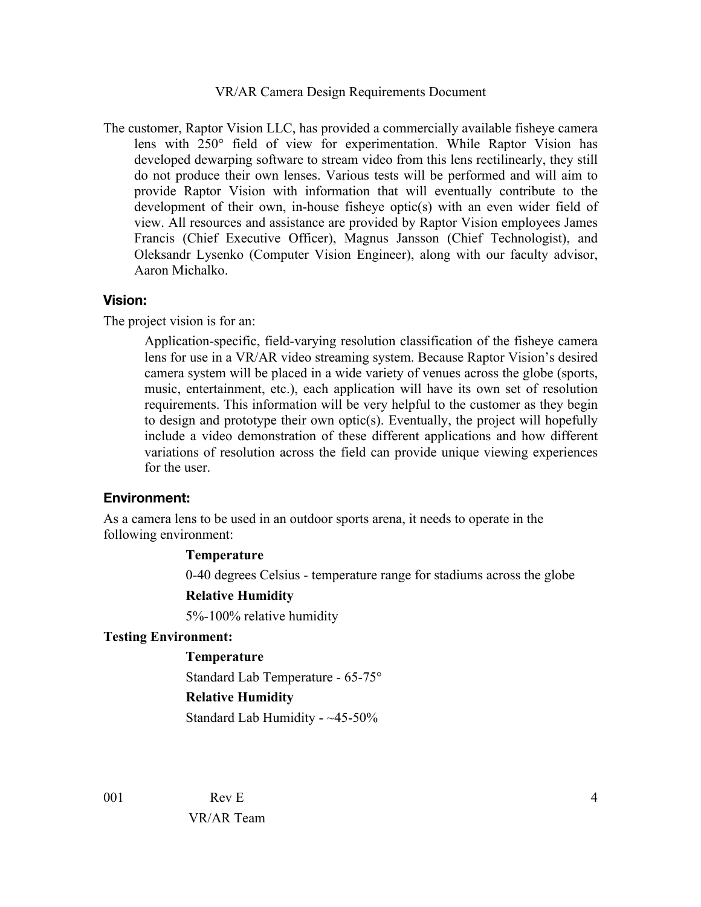The customer, Raptor Vision LLC, has provided a commercially available fisheye camera lens with 250° field of view for experimentation. While Raptor Vision has developed dewarping software to stream video from this lens rectilinearly, they still do not produce their own lenses. Various tests will be performed and will aim to provide Raptor Vision with information that will eventually contribute to the development of their own, in-house fisheye optic(s) with an even wider field of view. All resources and assistance are provided by Raptor Vision employees James Francis (Chief Executive Officer), Magnus Jansson (Chief Technologist), and Oleksandr Lysenko (Computer Vision Engineer), along with our faculty advisor, Aaron Michalko.

#### **Vision:**

The project vision is for an:

Application-specific, field-varying resolution classification of the fisheye camera lens for use in a VR/AR video streaming system. Because Raptor Vision's desired camera system will be placed in a wide variety of venues across the globe (sports, music, entertainment, etc.), each application will have its own set of resolution requirements. This information will be very helpful to the customer as they begin to design and prototype their own optic(s). Eventually, the project will hopefully include a video demonstration of these different applications and how different variations of resolution across the field can provide unique viewing experiences for the user.

#### **Environment:**

As a camera lens to be used in an outdoor sports arena, it needs to operate in the following environment:

#### **Temperature**

0-40 degrees Celsius - temperature range for stadiums across the globe

#### **Relative Humidity**

5%-100% relative humidity

#### **Testing Environment:**

#### **Temperature**

Standard Lab Temperature - 65-75°

#### **Relative Humidity**

Standard Lab Humidity - ~45-50%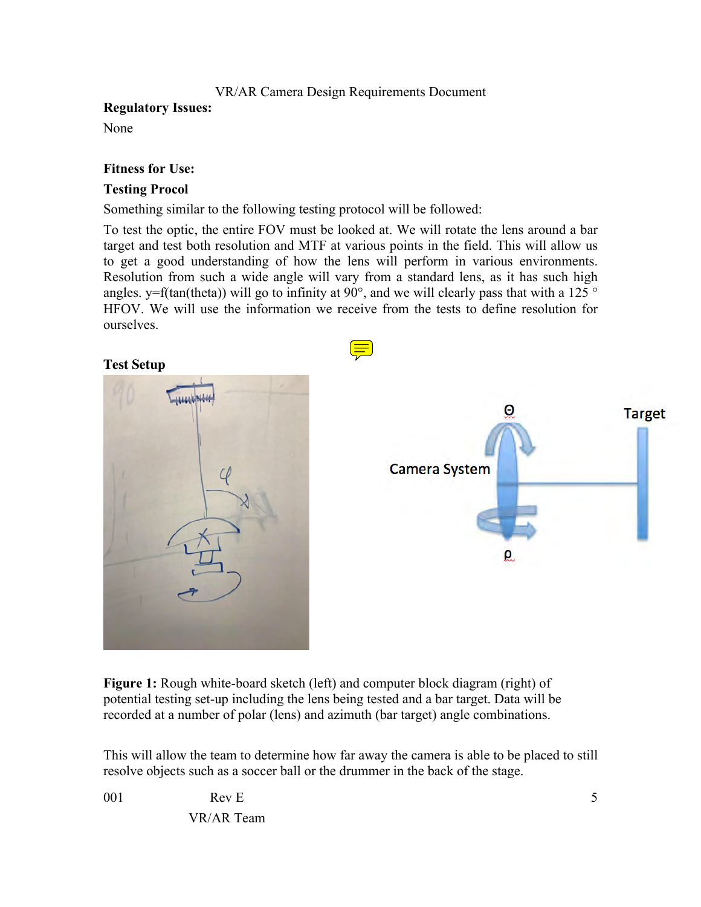# **Regulatory Issues:**

None

# **Fitness for Use:**

# **Testing Procol**

Something similar to the following testing protocol will be followed:

To test the optic, the entire FOV must be looked at. We will rotate the lens around a bar target and test both resolution and MTF at various points in the field. This will allow us to get a good understanding of how the lens will perform in various environments. Resolution from such a wide angle will vary from a standard lens, as it has such high angles. y=f(tan(theta)) will go to infinity at  $90^\circ$ , and we will clearly pass that with a 125  $^\circ$ HFOV. We will use the information we receive from the tests to define resolution for ourselves.

**Test Setup**





**Figure 1:** Rough white-board sketch (left) and computer block diagram (right) of potential testing set-up including the lens being tested and a bar target. Data will be recorded at a number of polar (lens) and azimuth (bar target) angle combinations.

This will allow the team to determine how far away the camera is able to be placed to still resolve objects such as a soccer ball or the drummer in the back of the stage.

001 Rev E VR/AR Team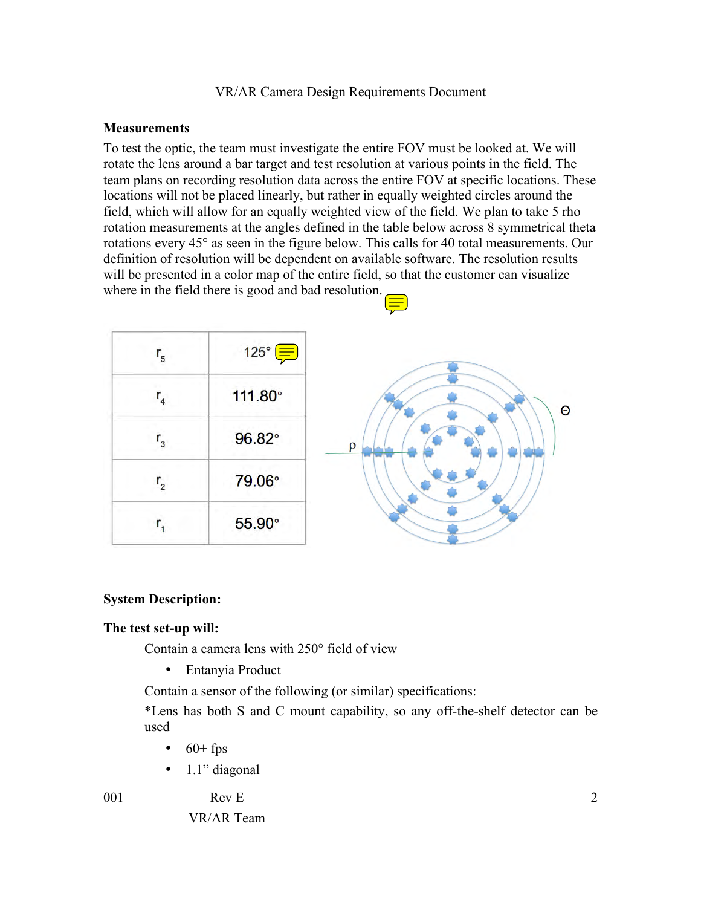#### **Measurements**

To test the optic, the team must investigate the entire FOV must be looked at. We will rotate the lens around a bar target and test resolution at various points in the field. The team plans on recording resolution data across the entire FOV at specific locations. These locations will not be placed linearly, but rather in equally weighted circles around the field, which will allow for an equally weighted view of the field. We plan to take 5 rho rotation measurements at the angles defined in the table below across 8 symmetrical theta rotations every 45° as seen in the figure below. This calls for 40 total measurements. Our definition of resolution will be dependent on available software. The resolution results will be presented in a color map of the entire field, so that the customer can visualize where in the field there is good and bad resolution.

| 5                        | $125^\circ \equiv$ |          |
|--------------------------|--------------------|----------|
|                          | 111.80°            | $\Theta$ |
| $^{\prime}$ <sub>3</sub> | 96.82°             | $\rho$   |
|                          | 79.06°             |          |
|                          | 55.90°             |          |
|                          |                    |          |

# **System Description:**

#### **The test set-up will:**

Contain a camera lens with 250° field of view

• Entanyia Product

Contain a sensor of the following (or similar) specifications:

\*Lens has both S and C mount capability, so any off-the-shelf detector can be used

- $\bullet$  60+ fps
- $\bullet$  1.1" diagonal

001 Rev E

VR/AR Team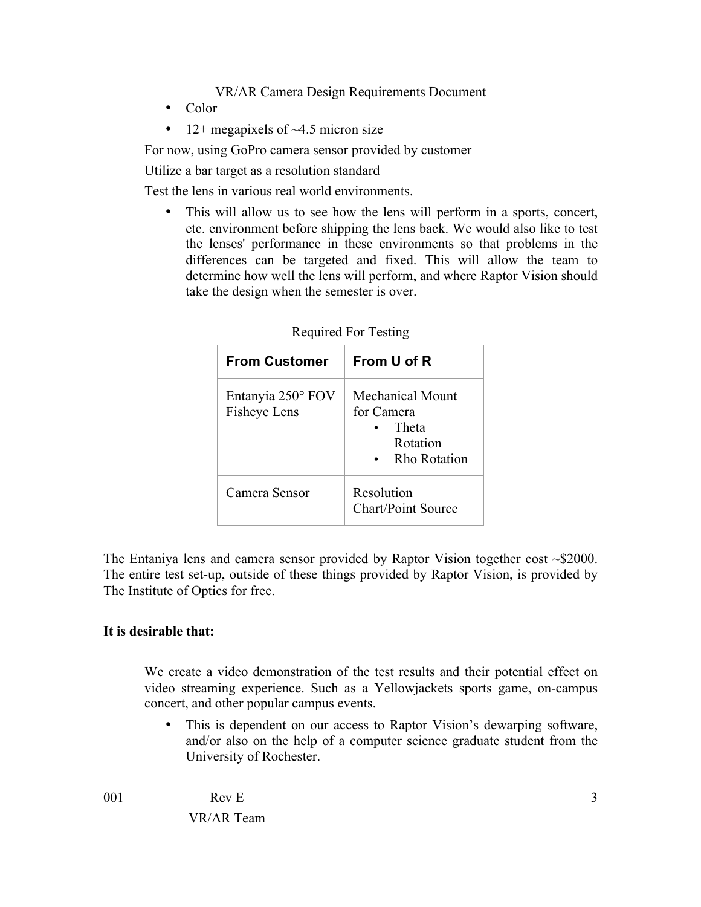- Color
- 12+ megapixels of  $\sim$ 4.5 micron size

For now, using GoPro camera sensor provided by customer

Utilize a bar target as a resolution standard

Test the lens in various real world environments.

This will allow us to see how the lens will perform in a sports, concert, etc. environment before shipping the lens back. We would also like to test the lenses' performance in these environments so that problems in the differences can be targeted and fixed. This will allow the team to determine how well the lens will perform, and where Raptor Vision should take the design when the semester is over.

| <b>From Customer</b>              | From U of R                                                                |  |
|-----------------------------------|----------------------------------------------------------------------------|--|
| Entanyia 250° FOV<br>Fisheye Lens | Mechanical Mount<br>for Camera<br>Theta<br>Rotation<br><b>Rho Rotation</b> |  |
| Camera Sensor                     | Resolution<br>Chart/Point Source                                           |  |

| Required For Testing |  |  |
|----------------------|--|--|
|----------------------|--|--|

The Entaniya lens and camera sensor provided by Raptor Vision together cost ~\$2000. The entire test set-up, outside of these things provided by Raptor Vision, is provided by The Institute of Optics for free.

# **It is desirable that:**

We create a video demonstration of the test results and their potential effect on video streaming experience. Such as a Yellowjackets sports game, on-campus concert, and other popular campus events.

• This is dependent on our access to Raptor Vision's dewarping software, and/or also on the help of a computer science graduate student from the University of Rochester.

001 Rev E VR/AR Team